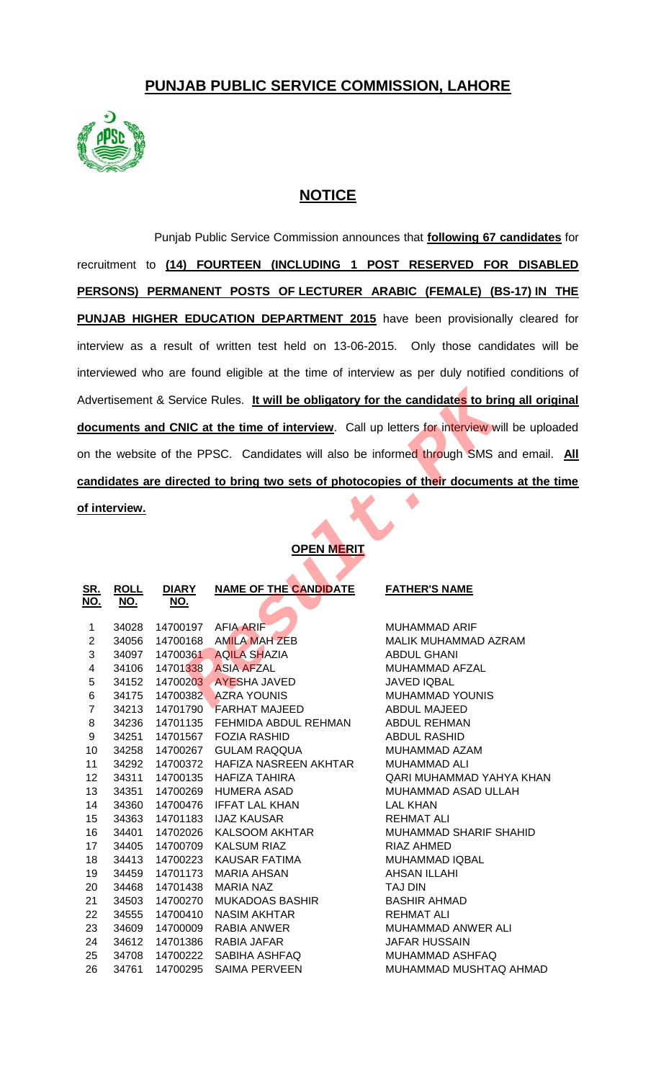## **PUNJAB PUBLIC SERVICE COMMISSION, LAHORE**



## **NOTICE**

Punjab Public Service Commission announces that **following 67 candidates** for recruitment to **(14) FOURTEEN (INCLUDING 1 POST RESERVED FOR DISABLED PERSONS) PERMANENT POSTS OF LECTURER ARABIC (FEMALE) (BS-17) IN THE PUNJAB HIGHER EDUCATION DEPARTMENT 2015** have been provisionally cleared for interview as a result of written test held on 13-06-2015. Only those candidates will be interviewed who are found eligible at the time of interview as per duly notified conditions of Advertisement & Service Rules. **It will be obligatory for the candidates to bring all original documents and CNIC at the time of interview**. Call up letters for interview will be uploaded on the website of the PPSC. Candidates will also be informed through SMS and email. **All candidates are directed to bring two sets of photocopies of their documents at the time of interview.**

## **OPEN MERIT**

| dvertisement & Service Rules. It will be obligatory for the candidates to bring all orig |                                                                            |                                                                                      |                                                                                                                                                                                                                                                 |  |  |  |  |  |
|------------------------------------------------------------------------------------------|----------------------------------------------------------------------------|--------------------------------------------------------------------------------------|-------------------------------------------------------------------------------------------------------------------------------------------------------------------------------------------------------------------------------------------------|--|--|--|--|--|
| locuments and CNIC at the time of interview. Call up letters for interview will be uploa |                                                                            |                                                                                      |                                                                                                                                                                                                                                                 |  |  |  |  |  |
| In the website of the PPSC. Candidates will also be informed through SMS and email.      |                                                                            |                                                                                      |                                                                                                                                                                                                                                                 |  |  |  |  |  |
| andidates are directed to bring two sets of photocopies of their documents at the t      |                                                                            |                                                                                      |                                                                                                                                                                                                                                                 |  |  |  |  |  |
| <u>finterview.</u>                                                                       |                                                                            |                                                                                      |                                                                                                                                                                                                                                                 |  |  |  |  |  |
|                                                                                          |                                                                            |                                                                                      |                                                                                                                                                                                                                                                 |  |  |  |  |  |
| <b>OPEN MERIT</b>                                                                        |                                                                            |                                                                                      |                                                                                                                                                                                                                                                 |  |  |  |  |  |
|                                                                                          |                                                                            |                                                                                      |                                                                                                                                                                                                                                                 |  |  |  |  |  |
| <u>NO.</u>                                                                               | <u>NO.</u>                                                                 |                                                                                      | <b>FATHER'S NAME</b>                                                                                                                                                                                                                            |  |  |  |  |  |
|                                                                                          |                                                                            |                                                                                      | MUHAMMAD ARIF                                                                                                                                                                                                                                   |  |  |  |  |  |
|                                                                                          |                                                                            |                                                                                      | MALIK MUHAMMAD AZRAM                                                                                                                                                                                                                            |  |  |  |  |  |
|                                                                                          |                                                                            |                                                                                      | <b>ABDUL GHANI</b>                                                                                                                                                                                                                              |  |  |  |  |  |
|                                                                                          |                                                                            |                                                                                      | MUHAMMAD AFZAL                                                                                                                                                                                                                                  |  |  |  |  |  |
|                                                                                          |                                                                            |                                                                                      | <b>JAVED IQBAL</b>                                                                                                                                                                                                                              |  |  |  |  |  |
|                                                                                          |                                                                            |                                                                                      | MUHAMMAD YOUNIS                                                                                                                                                                                                                                 |  |  |  |  |  |
|                                                                                          |                                                                            |                                                                                      | <b>ABDUL MAJEED</b>                                                                                                                                                                                                                             |  |  |  |  |  |
| 34236                                                                                    | 14701135                                                                   | FEHMIDA ABDUL REHMAN                                                                 | <b>ABDUL REHMAN</b>                                                                                                                                                                                                                             |  |  |  |  |  |
| 34251                                                                                    | 14701567                                                                   | <b>FOZIA RASHID</b>                                                                  | <b>ABDUL RASHID</b>                                                                                                                                                                                                                             |  |  |  |  |  |
| 34258                                                                                    |                                                                            | <b>GULAM RAQQUA</b>                                                                  | MUHAMMAD AZAM                                                                                                                                                                                                                                   |  |  |  |  |  |
| 34292                                                                                    | 14700372                                                                   | HAFIZA NASREEN AKHTAR                                                                | <b>MUHAMMAD ALI</b>                                                                                                                                                                                                                             |  |  |  |  |  |
| 34311                                                                                    | 14700135                                                                   | HAFIZA TAHIRA                                                                        | QARI MUHAMMAD YAHYA KHAN                                                                                                                                                                                                                        |  |  |  |  |  |
| 34351                                                                                    | 14700269                                                                   | <b>HUMERA ASAD</b>                                                                   | MUHAMMAD ASAD ULLAH                                                                                                                                                                                                                             |  |  |  |  |  |
| 34360                                                                                    | 14700476                                                                   | <b>IFFAT LAL KHAN</b>                                                                | <b>LAL KHAN</b>                                                                                                                                                                                                                                 |  |  |  |  |  |
| 34363                                                                                    | 14701183                                                                   | <b>IJAZ KAUSAR</b>                                                                   | <b>REHMAT ALI</b>                                                                                                                                                                                                                               |  |  |  |  |  |
| 34401                                                                                    | 14702026                                                                   | KALSOOM AKHTAR                                                                       | MUHAMMAD SHARIF SHAHID                                                                                                                                                                                                                          |  |  |  |  |  |
| 34405                                                                                    | 14700709                                                                   | <b>KALSUM RIAZ</b>                                                                   | <b>RIAZ AHMED</b>                                                                                                                                                                                                                               |  |  |  |  |  |
| 34413                                                                                    | 14700223                                                                   | <b>KAUSAR FATIMA</b>                                                                 | MUHAMMAD IQBAL                                                                                                                                                                                                                                  |  |  |  |  |  |
|                                                                                          |                                                                            |                                                                                      | AHSAN ILLAHI                                                                                                                                                                                                                                    |  |  |  |  |  |
| 34468                                                                                    | 14701438                                                                   | MARIA NAZ                                                                            | TAJ DIN                                                                                                                                                                                                                                         |  |  |  |  |  |
| 34503                                                                                    | 14700270                                                                   | <b>MUKADOAS BASHIR</b>                                                               | <b>BASHIR AHMAD</b>                                                                                                                                                                                                                             |  |  |  |  |  |
| 34555                                                                                    | 14700410                                                                   | <b>NASIM AKHTAR</b>                                                                  | <b>REHMAT ALI</b>                                                                                                                                                                                                                               |  |  |  |  |  |
| 34609                                                                                    | 14700009                                                                   | RABIA ANWER                                                                          | <b>MUHAMMAD ANWER ALI</b>                                                                                                                                                                                                                       |  |  |  |  |  |
| 34612                                                                                    | 14701386                                                                   | RABIA JAFAR                                                                          | <b>JAFAR HUSSAIN</b>                                                                                                                                                                                                                            |  |  |  |  |  |
| 34708                                                                                    | 14700222                                                                   | SABIHA ASHFAQ                                                                        | MUHAMMAD ASHFAQ                                                                                                                                                                                                                                 |  |  |  |  |  |
| 34761                                                                                    | 14700295                                                                   | <b>SAIMA PERVEEN</b>                                                                 | MUHAMMAD MUSHTAQ AHMAD                                                                                                                                                                                                                          |  |  |  |  |  |
|                                                                                          | <b>ROLL</b><br>34028<br>34056<br>34097<br>34106<br>34152<br>34175<br>34213 | <b>DIARY</b><br>14700197<br>14700168<br>14700361<br>14701338<br>14700203<br>14700382 | <b>NAME OF THE CANDIDATE</b><br><b>AFIA ARIF</b><br><b>AMILA MAH ZEB</b><br><b>AQILA SHAZIA</b><br><b>ASIA AFZAL</b><br><b>AYESHA JAVED</b><br><b>AZRA YOUNIS</b><br><b>FARHAT MAJEED</b><br>14701790<br>14700267<br>34459 14701173 MARIA AHSAN |  |  |  |  |  |